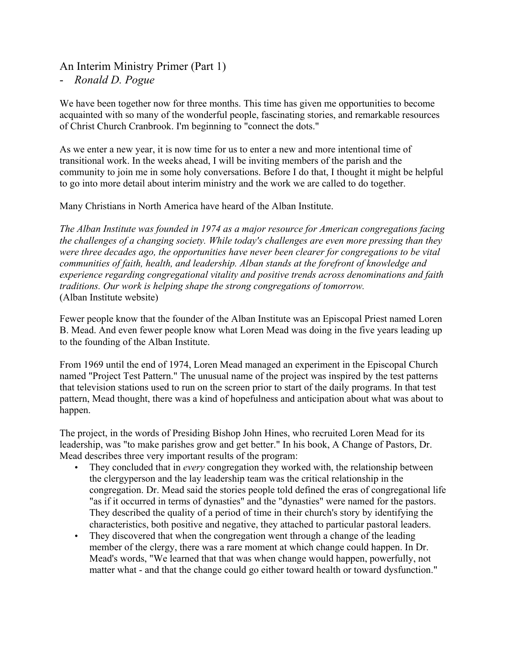# An Interim Ministry Primer (Part 1)

- *Ronald D. Pogue*

We have been together now for three months. This time has given me opportunities to become acquainted with so many of the wonderful people, fascinating stories, and remarkable resources of Christ Church Cranbrook. I'm beginning to "connect the dots."

As we enter a new year, it is now time for us to enter a new and more intentional time of transitional work. In the weeks ahead, I will be inviting members of the parish and the community to join me in some holy conversations. Before I do that, I thought it might be helpful to go into more detail about interim ministry and the work we are called to do together.

Many Christians in North America have heard of the Alban Institute.

*The Alban Institute was founded in 1974 as a major resource for American congregations facing the challenges of a changing society. While today's challenges are even more pressing than they were three decades ago, the opportunities have never been clearer for congregations to be vital communities of faith, health, and leadership. Alban stands at the forefront of knowledge and experience regarding congregational vitality and positive trends across denominations and faith traditions. Our work is helping shape the strong congregations of tomorrow.* (Alban Institute website)

Fewer people know that the founder of the Alban Institute was an Episcopal Priest named Loren B. Mead. And even fewer people know what Loren Mead was doing in the five years leading up to the founding of the Alban Institute.

From 1969 until the end of 1974, Loren Mead managed an experiment in the Episcopal Church named "Project Test Pattern." The unusual name of the project was inspired by the test patterns that television stations used to run on the screen prior to start of the daily programs. In that test pattern, Mead thought, there was a kind of hopefulness and anticipation about what was about to happen.

The project, in the words of Presiding Bishop John Hines, who recruited Loren Mead for its leadership, was "to make parishes grow and get better." In his book, A Change of Pastors, Dr. Mead describes three very important results of the program:

- They concluded that in *every* congregation they worked with, the relationship between the clergyperson and the lay leadership team was the critical relationship in the congregation. Dr. Mead said the stories people told defined the eras of congregational life "as if it occurred in terms of dynasties" and the "dynasties" were named for the pastors. They described the quality of a period of time in their church's story by identifying the characteristics, both positive and negative, they attached to particular pastoral leaders.
- They discovered that when the congregation went through a change of the leading member of the clergy, there was a rare moment at which change could happen. In Dr. Mead's words, "We learned that that was when change would happen, powerfully, not matter what - and that the change could go either toward health or toward dysfunction."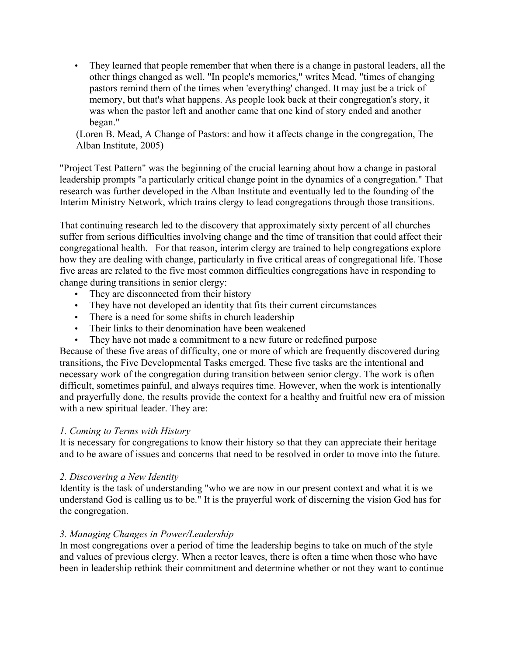• They learned that people remember that when there is a change in pastoral leaders, all the other things changed as well. "In people's memories," writes Mead, "times of changing pastors remind them of the times when 'everything' changed. It may just be a trick of memory, but that's what happens. As people look back at their congregation's story, it was when the pastor left and another came that one kind of story ended and another began."

(Loren B. Mead, A Change of Pastors: and how it affects change in the congregation, The Alban Institute, 2005)

"Project Test Pattern" was the beginning of the crucial learning about how a change in pastoral leadership prompts "a particularly critical change point in the dynamics of a congregation." That research was further developed in the Alban Institute and eventually led to the founding of the Interim Ministry Network, which trains clergy to lead congregations through those transitions.

That continuing research led to the discovery that approximately sixty percent of all churches suffer from serious difficulties involving change and the time of transition that could affect their congregational health. For that reason, interim clergy are trained to help congregations explore how they are dealing with change, particularly in five critical areas of congregational life. Those five areas are related to the five most common difficulties congregations have in responding to change during transitions in senior clergy:

- They are disconnected from their history
- They have not developed an identity that fits their current circumstances
- There is a need for some shifts in church leadership
- Their links to their denomination have been weakened
- They have not made a commitment to a new future or redefined purpose

Because of these five areas of difficulty, one or more of which are frequently discovered during transitions, the Five Developmental Tasks emerged. These five tasks are the intentional and necessary work of the congregation during transition between senior clergy. The work is often difficult, sometimes painful, and always requires time. However, when the work is intentionally and prayerfully done, the results provide the context for a healthy and fruitful new era of mission with a new spiritual leader. They are:

### *1. Coming to Terms with History*

It is necessary for congregations to know their history so that they can appreciate their heritage and to be aware of issues and concerns that need to be resolved in order to move into the future.

### *2. Discovering a New Identity*

Identity is the task of understanding "who we are now in our present context and what it is we understand God is calling us to be." It is the prayerful work of discerning the vision God has for the congregation.

## *3. Managing Changes in Power/Leadership*

In most congregations over a period of time the leadership begins to take on much of the style and values of previous clergy. When a rector leaves, there is often a time when those who have been in leadership rethink their commitment and determine whether or not they want to continue